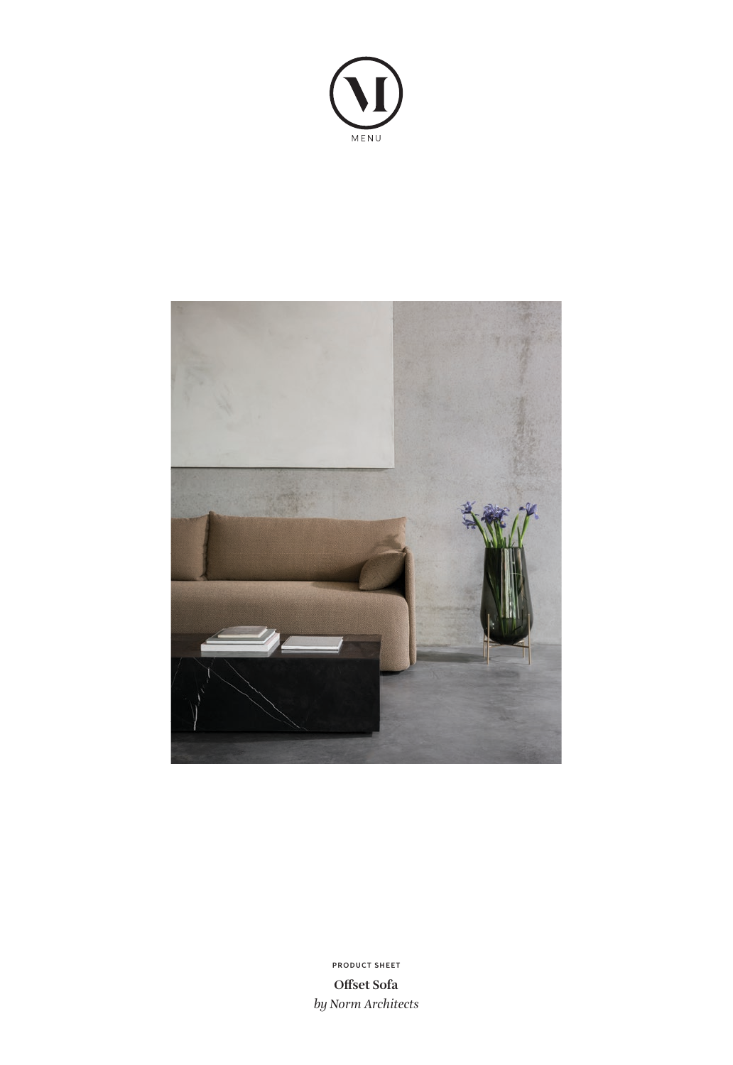



**Offset Sofa** *by Norm Architects* **PRODUCT SHEET**